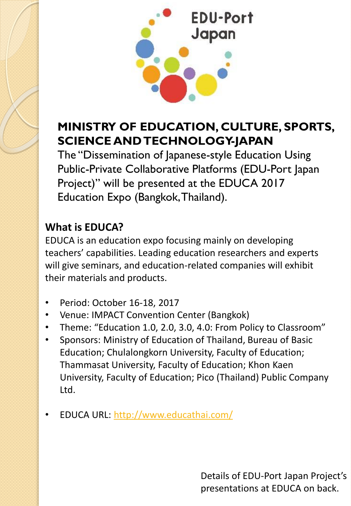

## **MINISTRY OF EDUCATION, CULTURE, SPORTS, SCIENCE AND TECHNOLOGY-JAPAN**

The "Dissemination of Japanese-style Education Using Public-Private Collaborative Platforms (EDU-Port Japan Project)" will be presented at the EDUCA 2017 Education Expo (Bangkok, Thailand).

#### **What is EDUCA?**

EDUCA is an education expo focusing mainly on developing teachers' capabilities. Leading education researchers and experts will give seminars, and education-related companies will exhibit their materials and products.

- Period: October 16-18, 2017
- Venue: IMPACT Convention Center (Bangkok)
- Theme: "Education 1.0, 2.0, 3.0, 4.0: From Policy to Classroom"
- Sponsors: Ministry of Education of Thailand, Bureau of Basic Education; Chulalongkorn University, Faculty of Education; Thammasat University, Faculty of Education; Khon Kaen University, Faculty of Education; Pico (Thailand) Public Company Ltd.
- EDUCA URL: <http://www.educathai.com/>

Details of EDU-Port Japan Project's presentations at EDUCA on back.